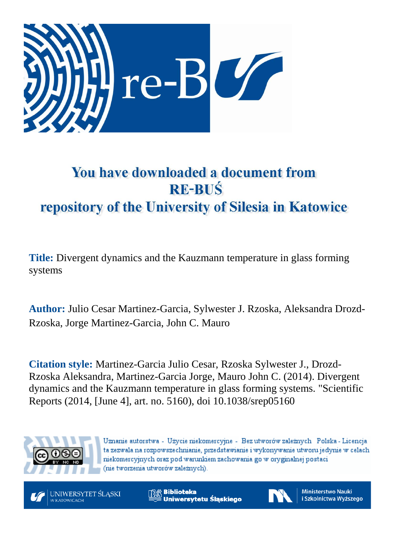

## You have downloaded a document from **RE-BUŚ** repository of the University of Silesia in Katowice

**Title:** Divergent dynamics and the Kauzmann temperature in glass forming systems

**Author:** Julio Cesar Martinez-Garcia, Sylwester J. Rzoska, Aleksandra Drozd-Rzoska, Jorge Martinez-Garcia, John C. Mauro

**Citation style:** Martinez-Garcia Julio Cesar, Rzoska Sylwester J., Drozd-Rzoska Aleksandra, Martinez-Garcia Jorge, Mauro John C. (2014). Divergent dynamics and the Kauzmann temperature in glass forming systems. "Scientific Reports (2014, [June 4], art. no. 5160), doi 10.1038/srep05160



Uznanie autorstwa - Użycie niekomercyjne - Bez utworów zależnych Polska - Licencja ta zezwala na rozpowszechnianie, przedstawianie i wykonywanie utworu jedynie w celach niekomercyjnych oraz pod warunkiem zachowania go w oryginalnej postaci (nie tworzenia utworów zależnych).



**& Biblioteka** Uniwersytetu Śląskiego



**Ministerstwo Nauki** i Szkolnictwa Wyższego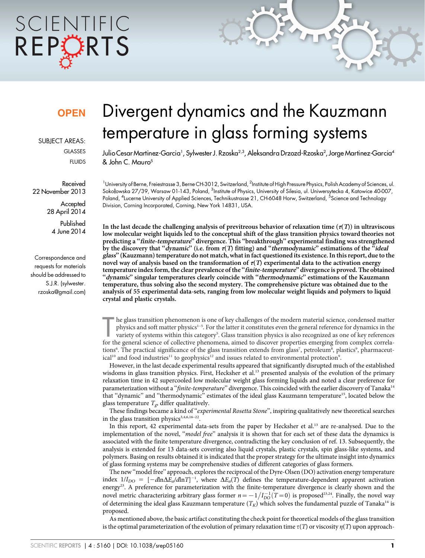# SCIENTIFIC REPCRTS

### **OPEN**

SUBJECT AREAS:

GLASSES

FLUIDS

Received 22 November 2013

> **Accepted** 28 April 2014

Published 4 June 2014

Correspondence and requests for materials should be addressed to S.J.R. (sylwester. rzoska@gmail.com)

## Divergent dynamics and the Kauzmann temperature in glass forming systems

Julio Cesar Martinez-Garcia' , Sylwester J. Rzoska<sup>2.3</sup>, Aleksandra Drzozd-Rzoska<sup>2</sup>, Jorge Martinez-Garcia<sup>4</sup> & John C. Mauro5

<sup>1</sup>University of Berne, Freiestrasse 3, Berne CH-3012, Switzerland, <sup>2</sup>Institute of High Pressure Physics, Polish Academy of Sciences, ul. Sokołowska 27/39, Warsaw 01-143, Poland, <sup>3</sup>Institute of Physics, University of Silesia, ul. Uniwersytecka 4, Katowice 40-007, Poland, <sup>4</sup>Lucerne University of Applied Sciences, Technikustrasse 21, CH-6048 Horw, Switzerland, <sup>5</sup>Science and Technology Division, Corning Incorporated, Corning, New York 14831, USA.

In the last decade the challenging analysis of previtreous behavior of relaxation time ( $\tau(T)$ ) in ultraviscous low molecular weight liquids led to the conceptual shift of the glass transition physics toward theories not predicting a ''finite-temperature'' divergence. This ''breakthrough'' experimental finding was strengthened by the discovery that " $\bar{d}$ ynamic" (i.e. from  $\tau(T)$  fitting) and "thermodynamic" estimations of the "ideal glass'' (Kauzmann) temperature do not match, what in fact questioned its existence. In this report, due to the novel way of analysis based on the transformation of  $\tau(T)$  experimental data to the activation energy temperature index form, the clear prevalence of the ''finite-temperature'' divergence is proved. The obtained ''dynamic'' singular temperatures clearly coincide with ''thermodynamic'' estimations of the Kauzmann temperature, thus solving also the second mystery. The comprehensive picture was obtained due to the analysis of 55 experimental data-sets, ranging from low molecular weight liquids and polymers to liquid crystal and plastic crystals.

The glass transition phenomenon is one of key challenges of the modern material science, condensed matter physics and soft matter physics<sup>1-5</sup>. For the latter it constitutes even the general reference for dynamics in the v he glass transition phenomenon is one of key challenges of the modern material science, condensed matter physics and soft matter physics<sup>1-5</sup>. For the latter it constitutes even the general reference for dynamics in the variety of systems within this category<sup>5</sup>. Glass transition physics is also recognized as one of key references tions<sup>6</sup>. The practical significance of the glass transition extends from glass<sup>7</sup>, petroleum<sup>8</sup>, plastics<sup>9</sup>, pharmaceutical<sup>10</sup> and food industries<sup>11</sup> to geophysics<sup>12</sup> and issues related to environmental protection<sup>9</sup>.

However, in the last decade experimental results appeared that significantly disrupted much of the established wisdoms in glass transition physics. First, Hecksher et al.<sup>13</sup> presented analysis of the evolution of the primary relaxation time in 42 supercooled low molecular weight glass forming liquids and noted a clear preference for parameterization without a "*finite-temperature*" divergence. This coincided with the earlier discovery of Tanaka<sup>14</sup> that ''dynamic'' and ''thermodynamic'' estimates of the ideal glass Kauzmann temperature15, located below the glass temperature  $T_{\varrho}$ , differ qualitatively.

These findings became a kind of "experimental Rosetta Stone", inspiring qualitatively new theoretical searches in the glass transition physics<sup>3,4,6,16-22</sup>.

In this report, 42 experimental data-sets from the paper by Hecksher et al.<sup>13</sup> are re-analysed. Due to the implementation of the novel, "model free" analysis it is shown that for each set of these data the dynamics is associated with the finite temperature divergence, contradicting the key conclusion of ref. 13. Subsequently, the analysis is extended for 13 data-sets covering also liquid crystals, plastic crystals, spin glass-like systems, and polymers. Basing on results obtained it is indicated that the proper strategy for the ultimate insight into dynamics of glass forming systems may be comprehensive studies of different categories of glass formers.

The new ''model free'' approach, explores the reciprocal of the Dyre-Olsen (DO) activation energy temperature index  $1/I_{DO} = [-d \ln \Delta E_a/d \ln T]^{-1}$ , where  $\Delta E_a(T)$  defines the temperature-dependent apparent activation energy<sup>23</sup>. A preference for parameterization with the finite-temperature divergence is clearly shown and the novel metric characterizing arbitrary glass former  $n = -1/I_{D0}^{-1}(T=0)$  is proposed<sup>23,24</sup>. Finally, the novel way of determining the ideal glass Kauzmann temperature  $(T_K)$  which solves the fundamental puzzle of Tanaka<sup>14</sup> is proposed.

As mentioned above, the basic artifact constituting the check point for theoretical models of the glass transition is the optimal parameterization of the evolution of primary relaxation time  $\tau(T)$  or viscosity  $\eta(T)$  upon approach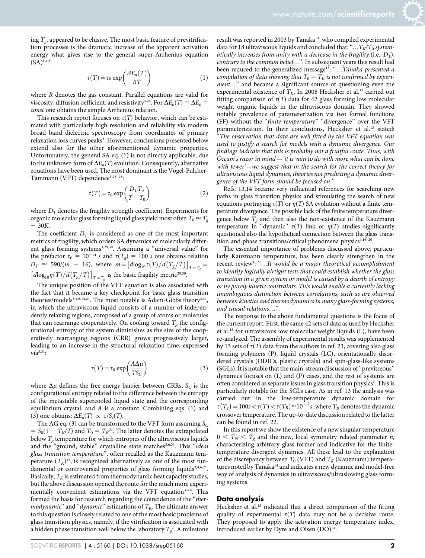ing  $T_{\varphi}$  appeared to be elusive. The most basic feature of previtrification processes is the dramatic increase of the apparent activation energy what gives rise to the general super-Arrhenius equation  $(SA)^{3,4,6}$ :

$$
\tau(T) = \tau_0 \exp\left(\frac{\Delta E_a(T)}{RT}\right) \tag{1}
$$

where R denotes the gas constant. Parallel equations are valid for viscosity, diffusion oefficient, and resistivity<sup>3,25</sup>. For  $\Delta E_a(T) = \Delta E_a =$ const one obtains the simple Arrhenius relation.

This research report focuses on  $\tau(T)$  behavior, which can be estimated with particularly high resolution and reliability via modern broad band dielectric spectroscopy from coordinates of primary relaxation loss curves peaks<sup>3</sup>. However, conclusions presented below extend also for the other aforementioned dynamic properties. Unfortunately, the general SA eq. (1) is not directly applicable, due to the unknown form of  $\Delta E_a(T)$  evolution. Consequently, alternative equations have been used. The most dominant is the Vogel-Fulcher-Tammann (VFT) dependence<sup>3,26-28</sup>:

$$
\tau(T) = \tau_0 \exp\left(\frac{D_T T_0}{T - T_0}\right) \tag{2}
$$

where  $D_T$  denotes the fragility strength coefficient. Experiments for organic molecular glass forming liquid glass yield most often  $T_0 \approx T_g$  $-30K$ .

The coefficient  $D_T$  is considered as one of the most important metrics of fragility, which orders SA dynamics of molecularly different glass forming systems<sup>3,29,30</sup>. Assuming a "universal value" for the prefactor  $\tau_0 = 10^{-14} s$  and  $\tau(T_g) = 100 s$  one obtains relation  $D_T \approx 590/(m - 16)$ , where  $m = [d \log_{10} \tau(T) / d(T_g/T)]_{T=T_g}$  $\left[d\log_{10}\eta(T)/d(T_g/T)\right]_{T=T_g}$  is the basic fragility metric<sup>29,30</sup>.

The unique position of the VFT equation is also associated with the fact that it became a key checkpoint for basic glass transition theories/models<sup>3,4,6,14,21</sup>. The most notable is Adam-Gibbs theory<sup>3,31</sup>, in which the ultraviscous liquid consists of a number of independently relaxing regions, composed of a group of atoms or molecules that can rearrange cooperatively. On cooling toward  $T<sub>\sigma</sub>$  the configurational entropy of the system diminishes as the size of the cooperatively rearranging regions (CRR) grows progressively larger, leading to an increase in the structural relaxation time, expressed  $via^{3,31}$ :

$$
\tau(T) = \tau_0 \exp\left(\frac{A\Delta\mu}{TS_C}\right) \tag{3}
$$

where  $\Delta \mu$  defines the free energy barrier between CRRs,  $S_C$  is the configurational entropy related to the difference between the entropy of the metastable supercooled liquid state and the corresponding equilibrium crystal, and  $A$  is a constant. Combining eqs. (1) and (3) one obtains:  $\Delta E_a(T) \propto 1/S_c(T)$ .

The AG eq. (3) can be transformed to the VFT form assuming  $S_C$  $= S_0(1 - T_K/T)$  and  $T_0 = T_K^{31}$ . The latter denotes the extrapolated below  $T_g$  temperature for which entropies of the ultraviscous liquids and the "ground, stable" crystalline state matches<sup>3,6,31</sup>. This "ideal glass transition temperature'', often recalled as the Kauzmann temperature  $(T_K)^{15}$ , is recognized alternatively as one of the most fundamental or controversial properties of glass forming liquids $3,4,6,21$ . Basically,  $T_K$  is estimated from thermodynamic heat capacity studies, but the above discussion opened the route for the much more experimentally convenient estimations via the VFT equation<sup>3,4,6</sup>. This formed the basis for research regarding the coincidence of the "ther*modynamic*" and "*dynamic*" estimations of  $T_K$ . The ultimate answer to this question is closely related to one of the most basic problems of glass transition physics, namely, if the vitrification is associated with a hidden phase transition well below the laboratory  $T_{g}^{\;\gamma}$ . A milestone

result was reported in 2003 by Tanaka<sup>14</sup>, who compiled experimental data for 18 ultraviscous liquids and concluded that: "...  $T_K/T_0$  systematically increases from unity with a decrease in the fragility (i.e.:  $D_T$ ), contrary to the common belief...". In subsequent years this result had been reduced to the generalized message<sup>13</sup>: "...Tanaka presented a compilation of data showing that  $T_0 = \overline{T}_K$  is not confirmed by experiment..." and became a significant source of questioning even the experimental existence of  $T_K$ . In 2008 Hecksher et al.<sup>13</sup> carried out fitting comparison of  $\tau(T)$  data for 42 glass forming low molecular weight organic liquids in the ultraviscous domain. They showed notable prevalence of parameterization via two formal functions (FF) without the "finite temperature" "divergence" over the VFT parameterization. In their conclusions, Hecksher et al.<sup>13</sup> stated: "The observation that data are well fitted by the VFT equation was used to justify a search for models with a dynamic divergence. Our findings indicate that this is probably not a fruitful route. Thus, with Occam's razor in mind —'it is vain to do with more what can be done with fewer'—we suggest that in the search for the correct theory for ultraviscous liquid dynamics, theories not predicting a dynamic diver-

gence of the VFT form should be focused on.'' Refs. 13,14 became very influential references for searching new paths in glass transition physics and stimulating the search of new equations portraying  $\tau(T)$  or  $\eta(T)$  SA evolution without a finite temperature divergence. The possible lack of the finite temperature divergence below  $T<sub>g</sub>$  and then also the non-existence of the Kauzmann temperature in "dynamic"  $\tau(T)$  link or  $\eta(T)$  studies significantly questioned also the hypothetical connection between the glass transition and phase transitions/critical phenomena physics<sup>4,16-20</sup>.

The essential importance of problems discussed above, particularly Kauzmann temperature, has been clearly strengthen in the recent review<sup>4</sup>: "...It would be a major theoretical accomplishment to identify logically airtight tests that could establish whether the glass transition in a given system or model is caused by a dearth of entropy or by purely kinetic constraints. This would enable a currently lacking unambiguous distinction between correlations, such as are observed between kinetics and thermodynamics in many glass-forming systems, and causal relations…''.

The response to the above fundamental questions is the focus of the current report. First, the same 42 sets of data as used by Hecksher et al.13 for ultraviscous low molecular weight liquids (L), have been re-analyzed. The assembly of experimental results was supplemented by 13 sets of  $\tau(T)$  data from the authors in ref. 23, covering also glass forming polymers (P), liquid crystals (LC), orientationally disordered crystals (ODICs, plastic crystals) and spin-glass-like systems (SGLs). It is notable that the main-stream discussion of ''previtreous'' dynamics focuses on (L) and (P) cases, and the rest of systems are often considered as separate issues in glass transition physics<sup>3</sup>. This is particularly notable for the SGLs case. As in ref. 13 the analysis was carried out in the low-temperature dynamic domain for  $\tau(T_g) = 100s < \tau(T) < \tau(T_B) \approx 10^{-7} s$ , where  $T_B$  denotes the dynamic crossover temperature. The up-to-date discussion related to the latter can be found in ref. 22.

In this report we show the existence of a new singular temperature  $0 < T_N < T_g$  and the new, local symmetry related parameter *n*, characterizing arbitrary glass former and indicative for the finitetemperature divergent dynamics. All these lead to the explanation of the discrepancy between  $T_0$  (VFT) and  $T_K$  (Kauzmann) temperatures noted by Tanaka<sup>14</sup> and indicates a new dynamic and model-free way of analysis of dynamics in ultraviscous/ultraslowing glass forming systems.

#### Data analysis

Hecksher et al.<sup>13</sup> indicated that a direct comparison of the fitting quality of experimental  $\tau(T)$  data may not be a decisive route. They proposed to apply the activation energy temperature index, introduced earlier by Dyre and Olsen  $(DO)^{24}$ :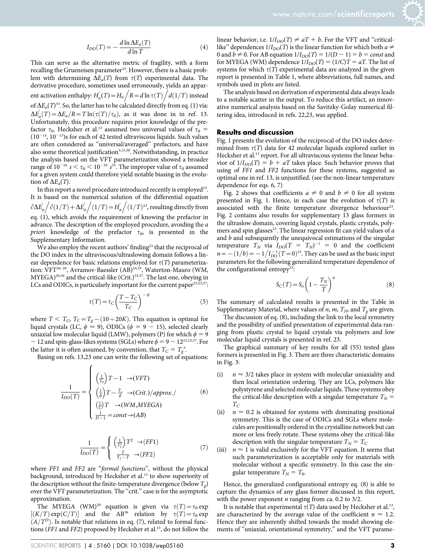$$
I_{DO}(T) = -\frac{d \ln \Delta E_a(T)}{d \ln T}
$$
 (4)

This can serve as the alternative metric of fragility, with a form recalling the Grueneisen parameter<sup>23</sup>. However, there is a basic problem with determining  $\Delta E_a(T)$  from  $\tau(T)$  experimental data. The derivative procedure, sometimes used erroneously, yields an apparent activation enthalpy:  $H_a(T) = H_a / R = d \ln \tau(T) / R$  $d(1/T)$  instead of  $\Delta E_a(T)^{33}$ . So, the latter has to be calculated directly from eq. (1) via:  $\Delta E_a'(T) = \Delta E_a/R = T \ln(\tau(T)/\tau_0)$ , as it was done in in ref. 13. Unfortunately, this procedure requires prior knowledge of the prefactor  $\tau_0$ . Hecksher et al.<sup>13</sup> assumed two universal values of  $\tau_0$  =  $(10^{-14}, 10^{-13})$ s for each of 42 tested ultraviscous liquids. Such values are often considered as ''universal/averaged'' prefactors, and have also some theoretical justification<sup>3,13,30</sup>. Notwithstanding, in practice the analysis based on the VFT parameterization showed a broader range of  $10^{-16}$   $s < \tau_0 < 10^{-10}$   $s^{33}$ . The improper value of  $\tau_0$  assumed for a given system could therefore yield notable biasing in the evolution of  $\Delta E_a(T)$ .

In this report a novel procedure introduced recently is employed<sup>23</sup>. It is based on the numerical solution of the differential equation  $\partial \Delta E_a^{'}$  $\int \partial (1/T) + \Delta E_a'$  $/(1/T) = H'_a$  $/(1/T)^{23}$ , resulting directly from eq. (1), which avoids the requirement of knowing the prefactor in advance. The description of the employed procedure, avoiding the a priori knowledge of the prefactor  $\tau_0$ , is presented in the Supplementary Information.

We also employ the recent authors' finding<sup>23</sup> that the reciprocal of the DO index in the ultraviscous/ultraslowing domain follows a linear dependence for basic relations employed for  $\tau(T)$  parameterization: VFT<sup>26–28</sup>, Avramov-Baessler (AB)<sup>34,35</sup>, Waterton-Mauro (WM, MYEGA)<sup>20,36</sup> and the critical-like (Crit.)<sup>33,37</sup>. The last one, obeying in LCs and ODICs, is particularly important for the current paper<sup>22,23,37</sup>:

$$
\tau(T) = \tau_C \left(\frac{T - T_C}{T_C}\right)^{-\phi} \tag{5}
$$

where  $T < T_c$ ,  $T_c = T_g - (10 \div 20K)$ . This equation is optimal for liquid crystals (LC,  $\phi \approx 9$ ), ODICs ( $\phi = 9 - 15$ ), selected clearly uniaxial low molecular liquid (LMW), polymers (P) for which  $\phi = 9$ - 12 and spin-glass-likes systems (SGLs) where  $\phi = 9 - 12^{22,23,37}$ . For the latter it is often assumed, by convention, that  $T_C = T_g^3$ .

Basing on refs. 13,23 one can write the following set of equations:

$$
\frac{1}{I_{DO}(T)} = \begin{cases}\n\left(\frac{1}{T_0}\right)T - 1 & \to (VFT) \\
\left(\frac{1}{\phi}\right)T - \frac{T_c}{\phi} & \to (Crit.)/approx./ \\
\left(\frac{1}{C}\right)T & \to (WM,MYEGA) \\
\frac{1}{D-1} = const \to (AB)\n\end{cases}
$$
\n(6)

$$
\frac{1}{I_{DO}(T)} = \begin{cases} \left(\frac{1}{T_1^2}\right)T^2 \to (FF1) \\ \frac{T}{T_2 - T} \to (FF2) \end{cases} \tag{7}
$$

where FF1 and FF2 are "formal functions", without the physical background, introduced by Hecksher et al.<sup>13</sup> to show superiority of the description without the finite-temperature divergence (below  $T_g$ ) over the VFT parameterization. The "crit." case is for the asymptotic approximation.

The MYEGA (WM)<sup>20</sup> equation is given via  $\tau(T) = \tau_0 \exp(-\tau_0 T)$  $[(K/T) \exp(C/T)]$  and the AB<sup>36</sup> relation by  $\tau(T) = \tau_0 \exp(-\tau_0 T)$  $(A/T^D)$ . Is notable that relations in eq. (7), related to formal functions (FF1 and FF2) proposed by Hecksher et al.<sup>13</sup>, do not follow the

linear behavior, i.e.  $1/I_{DO}(T) \neq aT + b$ . For the VFT and "criticallike" dependences  $1/I_{DO}(T)$  is the linear function for which both  $a \neq$ 0 and  $b \neq 0$ . For AB equation  $1/I_{DO}(T) = 1/(D - 1) = b = const$  and for MYEGA (WM) dependence  $1/I_{DO}(T) = (1/C)T = aT$ . The list of systems for which  $\tau(T)$  experimental data are analyzed in the given report is presented in Table 1, where abbreviations, full names, and symbols used in plots are listed.

The analysis based on derivation of experimental data always leads to a notable scatter in the output. To reduce this artifact, an innovative numerical analysis based on the Savitzky-Golay numerical filtering idea, introduced in refs. 22,23, was applied.

#### Results and discussion

Fig. 1 presents the evolution of the reciprocal of the DO index determined from  $\tau(T)$  data for 42 molecular liquids explored earlier in Hecksher et al.<sup>13</sup> report. For all ultraviscous systems the linear behavior of  $1/I_{DO}(T) = b + aT$  takes place. Such behavior proves that using of FF1 and FF2 functions for these systems, suggested as optimal one in ref. 13, is unjustified. (see the non-linear temperature dependence for eqs. 6, 7)

Fig. 2 shows that coefficients  $a \neq 0$  and  $b \neq 0$  for all system presented in Fig. 1. Hence, in each case the evolution of  $\tau(T)$  is associated with the finite temperature divergence behaviour<sup>23</sup>. Fig. 2 contains also results for supplementary 13 glass formers in the ultraslow domain, covering liquid crystals, plastic crystals, polymers and spin glasses<sup>23</sup>. The linear regression fit can yield values of a and  $b$  and subsequently the unequivocal estimations of the singular temperature  $T_N$  via  $I_{DO}(T = T_N)^{-1} = 0$  and the coefficient  $n=-{(1/b)}=-1/I_{D0}^{-1}(T=0)^{23}$ . They can be used as the basic input parameters for the following generalized temperature dependence of the configurational entropy<sup>23</sup>:

$$
S_C(T) = S_o \left( 1 - \frac{T_N}{T} \right)^n \tag{8}
$$

The summary of calculated results is presented in the Table in Supplementary Material, where values of *n*, *m*,  $T_N$ , and  $T_g$  are given.

The discussion of eq. (8), including the link to the local symmetry and the possibility of unified presentation of experimental data ranging from plastic crystal to liquid crystals via polymers and low molecular liquid crystals is presented in ref. 23.

The graphical summary of key results for all (55) tested glass formers is presented in Fig. 3. There are three characteristic domains in Fig. 3:

- (i)  $n \approx 3/2$  takes place in system with molecular uniaxiality and then local orientation ordering. They are LCs, polymers like polystyrene and selected molecular liquids. These systems obey the critical-like description with a singular temperature  $T_N$  =  $T_C$
- (ii)  $n \approx 0.2$  is obtained for systems with dominating positional symmetry. This is the case of ODICs and SGLs where molecules are positionally ordered in the crystalline network but can more or less freely rotate. These systems obey the critical-like description with the singular temperature  $T_N = T_C$
- (iii)  $n \approx 1$  is valid exclusively for the VFT equation. It seems that such parameterization is acceptable only for materials with molecular without a specific symmetry. In this case the singular temperature  $T_N = T_0$ .

Hence, the generalized configurational entropy eq. (8) is able to capture the dynamics of any glass former discussed in this report, with the power exponent  $n$  ranging from ca. 0.2 to 3/2.

It is notable that experimental  $\tau(T)$  data used by Hecksher et al.<sup>13</sup>, are characterized by the average value of the coefficient  $n \approx 1.2$ . Hence they are inherently shifted towards the model showing elements of "uniaxial, orientational symmetry," and the VFT parame-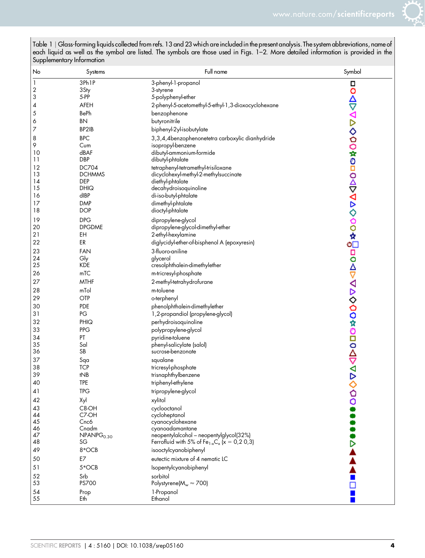

| No                      | Systems                | Full name                                                               | Symbol                                          |
|-------------------------|------------------------|-------------------------------------------------------------------------|-------------------------------------------------|
| 1                       | 3Ph <sub>1P</sub>      | 3-phenyl-1-propanol                                                     |                                                 |
| $\overline{\mathbf{c}}$ | 3Sty                   | 3-styrene                                                               |                                                 |
| 3                       | 5-PP                   | 5-polyphenyl-ether                                                      |                                                 |
| 4                       | AFEH                   | 2-phenyl-5-acetomethyl-5-ethyl-1,3-dioxocyclohexane                     | <b>□○△▽∇▷◇○○☆◎□○△▽∇▷◇○○☆『□○△▽∇▷◇○○☆◎□○△▽∇▷◇</b> |
| 5                       | BePh                   | benzophenone                                                            |                                                 |
| 6                       | <b>BN</b>              | butyronitrile                                                           |                                                 |
| $\overline{7}$          | BP2IB                  | biphenyl-2yl-isobutylate                                                |                                                 |
| 8                       | <b>BPC</b>             | 3,3,4,4benzophenonetetra carboxylic dianhydride                         |                                                 |
| 9                       | Cum<br>dBAF            | isopropyl-benzene<br>dibutyl-ammonium-formide                           |                                                 |
| 10<br>11                | <b>DBP</b>             | dibutyl-phtalate                                                        |                                                 |
| 12                      | DC704                  | tetraphenyl-tetramethyl-trisiloxane                                     |                                                 |
| 13                      | <b>DCHMMS</b>          | dicyclohexyl-methyl-2-methylsuccinate                                   |                                                 |
| 14                      | DEP                    | diethyl-phtalate                                                        |                                                 |
| 15                      | <b>DHIQ</b>            | decahydroisoquinoline                                                   |                                                 |
| 16                      | dIBP                   | di-iso-butyl-phtalate                                                   |                                                 |
| 17                      | <b>DMP</b>             | dimethyl-phtalate                                                       |                                                 |
| 18                      | <b>DOP</b>             | dioctyl-phtalate                                                        |                                                 |
| 19                      | <b>DPG</b>             | dipropylene-glycol                                                      |                                                 |
| 20                      | <b>DPGDME</b>          | dipropylene-glycol-dimethyl-ether                                       |                                                 |
| 21                      | EH                     | 2-ethyl-hexylamine                                                      |                                                 |
| 22                      | ER                     | diglycidyl-ether-of-bisphenol A (epoxyresin)                            |                                                 |
| 23                      | <b>FAN</b>             | 3-fluoro-aniline                                                        |                                                 |
| 24                      | Gly                    | glycerol                                                                |                                                 |
| 25                      | <b>KDE</b>             | cresolphthalein-dimethylether                                           |                                                 |
| 26                      | mTC                    | m-tricresyl-phosphate                                                   |                                                 |
| 27                      | <b>MTHF</b>            | 2-methyl-tetrahydrofurane                                               |                                                 |
| 28                      | mTol                   | m-toluene                                                               |                                                 |
| 29                      | OTP                    | o-terphenyl                                                             |                                                 |
| 30                      | <b>PDE</b>             | phenolphthalein-dimethylether                                           |                                                 |
| 31                      | $PG$                   | 1,2-propandiol (propylene-glycol)                                       |                                                 |
| 32                      | PHIQ                   | perhydroisoquinoline                                                    |                                                 |
| 33                      | <b>PPG</b>             | polypropylene-glycol                                                    |                                                 |
| 34<br>35                | PT<br>Sal              | pyridine-toluene                                                        |                                                 |
| 36                      | SB                     | phenyl-salicylate (salol)<br>sucrose-benzonate                          |                                                 |
| 37                      | Sqa                    | squalane                                                                |                                                 |
| 38                      | <b>TCP</b>             | tricresyl-phosphate                                                     |                                                 |
| 39                      | tNB                    | trisnaphthylbenzene                                                     |                                                 |
| 40                      | <b>TPE</b>             | triphenyl-ethylene                                                      |                                                 |
| 41                      | <b>TPG</b>             | tripropylene-glycol                                                     |                                                 |
| 42                      | Xyl                    | xylitol                                                                 |                                                 |
| 43                      | C8-OH                  | cyclooctanol                                                            |                                                 |
| 44                      | C7-OH                  | cycloheptanol                                                           |                                                 |
| 45                      | Cnc6                   | cyanocyclohexane                                                        |                                                 |
| 46                      | Cnadm                  | cyanoadamantane                                                         |                                                 |
| 47                      | NPANPG <sub>0.30</sub> | neopentylalcohol - neopentylglycol(32%)                                 |                                                 |
| 48                      | SG                     | Ferrofluid with 5% of Fe <sub>1-x</sub> C <sub>x</sub> ( $x = 0,20,3$ ) |                                                 |
| 49                      | 8*OCB                  | isooctylcyanobiphenyl                                                   |                                                 |
| 50                      | E7                     | eutectic mixture of 4 nematic LC                                        |                                                 |
| 51                      | 5*OCB                  | Isopentylcyanobiphenyl                                                  |                                                 |
| 52                      | Srb                    | sorbitol                                                                |                                                 |
| 53                      | PS700                  | Polystyrene( $M_w \approx 700$ )                                        |                                                 |
| 54                      | Prop                   | 1-Propanol                                                              |                                                 |
| 55                      | Eth                    | Ethanol                                                                 |                                                 |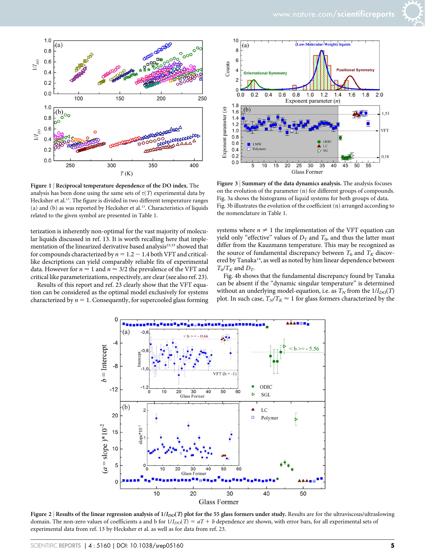

Figure 1 | Reciprocal temperature dependence of the DO index. The analysis has been done using the same sets of  $\tau(T)$  experimental data by Hecksher et al.<sup>13</sup>. The figure is divided in two different temperature ranges (a) and (b) as was reported by Hecksher et al.<sup>13</sup>. Characteristics of liquids related to the given symbol are presented in Table 1.

terization is inherently non-optimal for the vast majority of molecular liquids discussed in ref. 13. It is worth recalling here that implementation of the linearized derivative based analysis<sup>23,33</sup> showed that for compounds characterized by  $n = 1.2 - 1.4$  both VFT and criticallike descriptions can yield comparably reliable fits of experimental data. However for  $n \approx 1$  and  $n \approx 3/2$  the prevalence of the VFT and critical like parameterizations, respectively, are clear (see also ref. 23).

Results of this report and ref. 23 clearly show that the VFT equation can be considered as the optimal model exclusively for systems characterized by  $n = 1$ . Consequently, for supercooled glass forming



Figure 3 <sup>|</sup> Summary of the data dynamics analysis. The analysis focuses on the evolution of the parameter (n) for different groups of compounds. Fig. 3a shows the histograms of liquid systems for both groups of data. Fig. 3b illustrates the evolution of the coefficient (n) arranged according to the nomenclature in Table 1.

systems where  $n \neq 1$  the implementation of the VFT equation can yield only "effective" values of  $D_T$  and  $T_0$ , and thus the latter must differ from the Kauzmann temperature. This may be recognized as the source of fundamental discrepancy between  $T_0$  and  $T_K$  discovered by Tanaka<sup>14</sup>, as well as noted by him linear dependence between  $T_0/T_K$  and  $D_T$ .

Fig. 4b shows that the fundamental discrepancy found by Tanaka can be absent if the ''dynamic singular temperature'' is determined without an underlying model-equation, i.e. as  $T_N$  from the  $1/I_{DO}(T)$ plot. In such case,  $T_N/T_K \approx 1$  for glass formers characterized by the



Figure 2 | Results of the linear regression analysis of  $1/I_{DO}(T)$  plot for the 55 glass formers under study. Results are for the ultraviscous/ultraslowing domain. The non-zero values of coefficients a and b for  $1/I_{DO}(T) = aT + b$  dependence are shown, with error bars, for all experimental sets of experimental data from ref. 13 by Hecksher et al. as well as for data from ref. 23.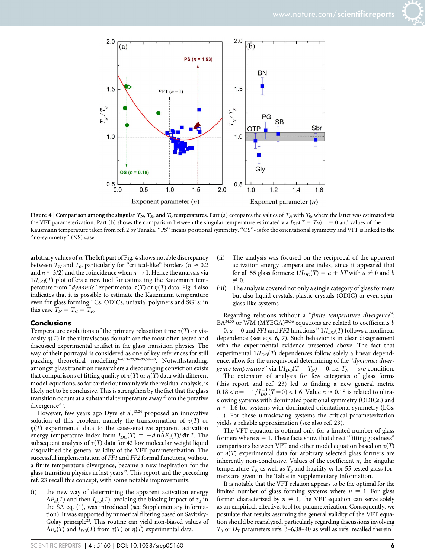



Figure 4 | Comparison among the singular  $T_{N}$ ,  $T_{K}$  and  $T_{0}$  temperatures. Part (a) compares the values of  $T_{N}$  with  $T_{0}$ , where the latter was estimated via the VFT parameterization. Part (b) shows the comparison between the singular temperature estimated via  $I_{DO}(T = T_N)^{-1} = 0$  and values of the Kauzmann temperature taken from ref. 2 by Tanaka. "PS" means positional symmetry, "OS"- is for the orientational symmetry and VFT is linked to the "no-symmetry" (NS) case.

arbitrary values of n. The left part of Fig. 4 shows notable discrepancy between  $T_N$  and  $T_0$ , particularly for "critical-like" borders ( $n \approx 0.2$ ) and  $n \approx 3/2$ ) and the coincidence when  $n \rightarrow 1$ . Hence the analysis via  $1/I_{DO}(T)$  plot offers a new tool for estimating the Kauzmann temperature from "*dynamic*" experimental  $\tau(T)$  or  $\eta(T)$  data. Fig. 4 also indicates that it is possible to estimate the Kauzmann temperature even for glass forming LCs, ODICs, uniaxial polymers and SGLs: in this case  $T_N = T_C = T_K$ .

#### **Conclusions**

Temperature evolutions of the primary relaxation time  $\tau(T)$  or viscosity  $\eta(T)$  in the ultraviscous domain are the most often tested and discussed experimental artifact in the glass transition physics. The way of their portrayal is considered as one of key references for still puzzling theoretical modelling<sup>3-6,13-25,30-33,38-40</sup>. Notwithstanding, amongst glass transition researchers a discouraging conviction exists that comparisons of fitting quality of  $\tau(T)$  or  $\eta(T)$  data with different model-equations, so far carried out mainly via the residual analysis, is likely not to be conclusive. This is strengthen by the fact that the glass transition occurs at a substantial temperature away from the putative divergence<sup>2,3</sup>.

However, few years ago Dyre et al.<sup>13,24</sup> proposed an innovative solution of this problem, namely the transformation of  $\tau(T)$  or  $\eta(T)$  experimental data to the case-sensitive apparent activation energy temperature index form  $I_{DO}(T) = -d \ln \Delta E_a(T)/d \ln T$ . The subsequent analysis of  $\tau(T)$  data for 42 low molecular weight liquid disqualified the general validity of the VFT parameterization. The successful implementation of FF1 and FF2 formal functions, without a finite temperature divergence, became a new inspiration for the glass transition physics in last years $13$ . This report and the preceding ref. 23 recall this concept, with some notable improvements:

(i) the new way of determining the apparent activation energy  $\Delta E_a(T)$  and then  $I_{DO}(T)$ , avoiding the biasing impact of  $\tau_0$  in the SA eq. (1), was introduced (see Supplementary information). It was supported by numerical filtering based on Savitzky-Golay principle<sup>23</sup>. This routine can yield non-biased values of  $\Delta E_a(T)$  and  $I_{DO}(T)$  from  $\tau(T)$  or  $\eta(T)$  experimental data.

- (ii) The analysis was focused on the reciprocal of the apparent activation energy temperature index, since it appeared that for all 55 glass formers:  $1/I_{DO}(T) = a + bT$  with  $a \neq 0$  and b  $\neq 0.$
- (iii) The analysis covered not only a single category of glass formers but also liquid crystals, plastic crystals (ODIC) or even spinglass-like systems.

Regarding relations without a "finite temperature divergence":  $BA^{34,35}$  or WM (MYEGA)<sup>20,36</sup> equations are related to coefficients b  $= 0$ ,  $a = 0$  and FF1 and FF2 functions<sup>13</sup>  $1/I_{DO}(T)$  follows a nonlinear dependence (see eqs. 6, 7). Such behavior is in clear disagreement with the experimental evidence presented above. The fact that experimental  $1/I_{DO}(T)$  dependences follow solely a linear dependence, allow for the unequivocal determining of the "dynamics divergence temperature" via  $1/I_{DO}(T = T_N) = 0$ , i.e.  $T_N = a/b$  condition.

The extension of analysis for few categories of glass forms (this report and ref. 23) led to finding a new general metric  $0.18 < n = -1/I_{D0}^{-1}(T=0) < 1.6$ . Value  $n \approx 0.18$  is related to ultraslowing systems with dominated positional symmetry (ODICs.) and  $n \approx 1.6$  for systems with dominated orientational symmetry (LCs, …). For these ultraslowing systems the critical-parameterization yields a reliable approximation (see also ref. 23).

The VFT equation is optimal only for a limited number of glass formers where  $n = 1$ . These facts show that direct "fitting goodness" comparisons between VFT and other model equation based on  $\tau(T)$ or  $\eta(T)$  experimental data for arbitrary selected glass formers are inherently non-conclusive. Values of the coefficient  $n$ , the singular temperature  $T_N$  as well as  $T_g$  and fragility m for 55 tested glass formers are given in the Table in Supplementary Information.

It is notable that the VFT relation appears to be the optimal for the limited number of glass forming systems where  $n = 1$ . For glass former characterized by  $n \neq 1$ , the VFT equation can serve solely as an empirical, effective, tool for parameterization. Consequently, we postulate that results assuming the general validity of the VFT equation should be reanalyzed, particularly regarding discussions involving  $T_0$  or  $D_T$  parameters refs. 3–6,38–40 as well as refs. recalled therein.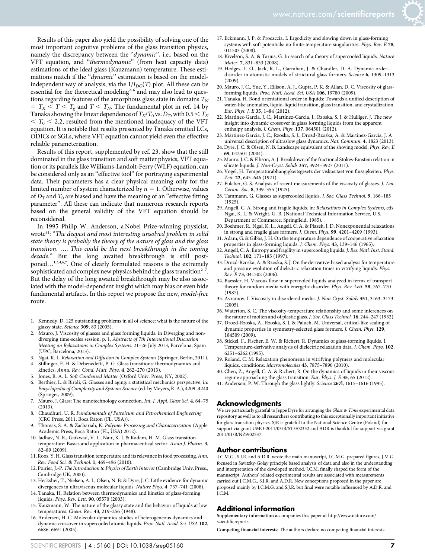Results of this paper also yield the possibility of solving one of the most important cognitive problems of the glass transition physics, namely the discrepancy between the "dynamic", i.e., based on the VFT equation, and ''thermodynamic'' (from heat capacity data) estimations of the ideal glass (Kauzmann) temperature. These estimations match if the "dynamic" estimation is based on the modelindependent way of analysis, via the  $1/I_{DO}(T)$  plot. All these can be essential for the theoretical modeling<sup>2-6</sup> and may also lead to questions regarding features of the amorphous glass state in domains  $T_N$  $T = T_K < T < T_g$  and  $T < T_N$ . The fundamental plot in ref. 14 by Tanaka showing the linear dependence of  $T_K/T_0$  vs.  $D_T$ , with  $0.5 < T_K$  $\tau$   $T_0$  < 2.2, resulted from the mentioned inadequacy of the VFT equation. It is notable that results presented by Tanaka omitted LCs, ODICs or SGLs, where VFT equation cannot yield even the effective reliable parameterization.

Results of this report, supplemented by ref. 23, show that the still dominated in the glass transition and soft matter physics, VFT equation or its parallels like Williams-Landolt-Ferry (WLF) equation, can be considered only as an ''effective tool'' for portraying experimental data. Their parameters has a clear physical meaning only for the limited number of system characterized by  $n = 1$ . Otherwise, values of  $D_T$  and  $T_0$  are biased and have the meaning of an "effective fitting parameter''. All these can indicate that numerous research reports based on the general validity of the VFT equation should be reconsidered.

In 1995 Philip W. Anderson, a Nobel Prize-winning physicist, wrote<sup>41</sup>: "The deepest and most interesting unsolved problem in solid state theory is probably the theory of the nature of glass and the glass transition. …. This could be the next breakthrough in the coming decade.'' But the long awaited breakthrough is still postponed...<sup>1,3,4,6,7</sup>. One of clearly formulated reasons is the extremely sophisticated and complex new physics behind the glass transition<sup> $2-7$ </sup>. But the delay of the long awaited breakthrough may be also associated with the model-dependent insight which may bias or even hide fundamental artifacts. In this report we propose the new, model-free route.

- 1. Kennedy, D. 125 outstanding problems in all of science: what is the nature of the glassy state. Science 309, 83 (2005).
- Mauro, J. Viscosity of glasses and glass forming liquids. in Diverging and nondiverging time-scales session, p. 1, Abstracts of 7th International Discussion Meeting on Relaxations in Complex Systems. 21–26 July 2013, Barcelona, Spain (UPC, Barcelona, 2013).
- 3. Ngai, K. L. Relaxation and Diffusion in Complex Systems (Springer, Berlin, 2011).
- 4. Stillinger, F. H. & Debenedetti, P. G. Glass transitions: thermodynamics and kinetics. Annu. Rev. Cond. Matt. Phys. 4, 262–270 (2013).
- 5. Jones, R. A. L. Soft Condensed Matter (Oxford Univ. Press, NY, 2002).
- 6. Berthier, L. & Biroli, G. Glasses and aging: a statistical mechanics perspective. in: Encyclopedia of Complexity and Systems Science(ed. by Meyers, R. A.), 4209–4240 (Springer, 2009).
- 7. Mauro, J. Glass: The nanotechnology connection. Int. J. Appl. Glass Sci. 4, 64–75 (2013).
- 8. Chaudhuri, U. R. Fundamentals of Petroleum and Petrochemical Engineering (CRC Press, 2011, Boca Raton (FL, USA)).
- 9. Thomas, S. A. & Zachariah, K. Polymer Processing and Characterization (Apple Academic Press, Boca Raton (FL, USA) 2012).
- 10. Jadhav, N. R., Gaikwad, V. L., Nair, K. J. & Kadam, H. M. Glass transition temperature: Basics and application in pharmaceutical sector. Asian J. Pharm. 3, 82–89 (2009).
- 11. Roos, Y. H. Glass transition temperature and its relevance in food processing. Ann. Rev. Food Sci. & Technol. 1, 469–496 (2010).
- 12. Poirier, J.-P. The Introduction to Physics of Earth Interior (Cambridge Univ. Press., Cambridge UK, 2000).
- 13. Hecksher, T., Nielsen, A. I., Olsen, N. B. & Dyre, J. C. Little evidence for dynamic divergences in ultraviscous molecular liquids. Nature Phys. 4, 737–741 (2008).
- 14. Tanaka, H. Relation between thermodynamics and kinetics of glass-forming liquids. Phys. Rev. Lett. 90, 05570 (2003).
- 15. Kauzmann, W. The nature of the glassy state and the behavior of liquids at low temperatures. Chem. Rev. 43, 219–256 (1948).
- 16. Andersen, H. C. Molecular dynamics studies of heterogeneous dynamics and dynamic crossover in supercooled atomic liquids. Proc. Natl. Acad. Sci. USA 102, 6686–6691 (2005).
- 17. Eckmann, J. P. & Procaccia, I. Ergodicity and slowing down in glass-forming systems with soft potentials: no finite-temperature singularities. Phys. Rev. E 78, 011503 (2008).
- 18. Kivelson, S. A. & Tarjus, G. In search of a theory of supercooled liquids. Nature Mater. 7, 831–833 (2008).
- 19. Hedges, L. O., Jack, R. L., Garrahan, J. & Chandler, D. A. Dynamic order– disorder in atomistic models of structural glass formers. Science 6, 1309-1313  $(2009)$
- 20. Mauro, J. C., Yue, Y., Ellison, A. J., Gupta, P. K. & Allan, D. C. Viscosity of glassforming liquids. Proc. Natl. Acad. Sci. USA 106, 19780 (2009).
- 21. Tanaka, H. Bond orientational order in liquids: Towards a unified description of water-like anomalies, liquid-liquid transition, glass transition, and crystallization. Eur. Phys. J. E 35, 1–84 (2012).
- 22. Martinez-Garcia, J. C., Martinez-Garcia, J., Rzoska, S. J. & Hulliger, J. The new insight into dynamic crossover in glass forming liquids from the apparent enthalpy analysis. J. Chem. Phys. 137, 064501 (2012).
- 23. Martinez-Garcia, J. C., Rzoska, S. J., Drozd-Rzoska, A. & Martinez-Garcia, J. A
- universal description of ultraslow glass dynamics. Nat. Commun. 4, 1823 (2013). 24. Dyre, J. C. & Olsen, N. B. Landscape equivalent of the shoving model. Phys. Rev. E 69, 042501 (2004).
- 25. Mauro, J. C. & Ellison, A. J. Breakdown of the fractional Stokes-Einstein relation in silicate liquids. J. Non-Cryst. Solids 357, 3924–3927 (2011).
- 26. Vogel, H. Temperaturabhangigkeitsgesetz der viskositaet von flussigkeiten. Phys. Zeit. 22, 645–646 (1921).
- 27. Fulcher, G. S. Analysis of recent measurements of the viscosity of glasses. J. Am. Ceram. Soc. 8, 339–355 (1925).
- 28. Tammann, G. Glasses as supercooled liquids. J. Soc. Glass Technol. 9, 166–185  $(1925)$
- 29. Angell, C. A. Strong and fragile liquids. in: Relaxations in Complex Systems, eds. Ngai, K. L. & Wright, G. B. (National Technical Information Service, U.S. Department of Commerce, Springfield, 1985).
- 30. Boehmer, R., Ngai, K. L., Angell, C. A. & Plazek, J. D. Nonexponential relaxations in strong and fragile glass formers. J. Chem. Phys. 99, 4201–4209 (1993).
- 31. Adam, G. & Gibbs, J. H. On the temperature dependence of cooperative relaxation properties in glass-forming liquids. *J. Chem. Phys.* 43, 139-146 (1965).
- 32. Angell, C. A. Entropy and fragility in supercooling liquids. J. Res. Natl. Inst. Stand. Technol. 102, 171–185 (1997).
- 33. Drozd-Rzoska, A. & Rzoska, S. J. On the derivative-based analysis for temperature and pressure evolution of dielectric relaxation times in vitrifying liquids. Phys. Rev. E 73, 041502 (2006).
- 34. Baessler, H. Viscous flow in supercooled liquids analyzed in terms of transport theory for random media with energetic disorder. Phys. Rev. Lett. 58, 767–770 (1987).
- 35. Avramov, I. Viscosity in disordered media. J. Non-Cryst. Solids 351, 3163–3173 (2005).
- 36. Waterton, S. C. The viscosity-temperature relationship and some inferences on the nature of molten and of plastic glass. J. Soc. Glass Technol. 16, 244–247 (1932).
- 37. Drozd-Rzoska, A., Rzoska, S. J. & Paluch, M. Universal, critical-like scaling of dynamic properties in symmetry-selected glass formers. J. Chem. Phys. 129, 184509 (2009).
- 38. Stickel, F., Fischer, E. W. & Richert, R. Dynamics of glass-forming liquids. I. Temperature-derivative analysis of dielectric relaxation data. J. Chem. Phys. 102, 6251–6262 (1995).
- 39. Roland, C. M. Relaxation phenomena in vitrifying polymers and molecular liquids, conditions. Macromolecules 43, 7875–7890 (2010).
- 40. Chen, Z., Angell, C. A. & Richert, R. On the dynamics of liquids in their viscous regime approaching the glass transition. Eur. Phys. J. E 35, 65 (2012).
- 41. Anderson, P. W. Through the glass lightly. Science 267l, 1615–1616 (1995).

#### Acknowledgments

We are particularly grateful to Jeppe Dyre for arranging the Glass & Time experimental data repository as well as to all researchers contributing to this exceptionally important initiative for glass transition physics. SJR is grateful to the National Science Centre (Poland) for support via grant UMO-2011/03/B/ST3/02352 and ADR is thankful for support via grant 2011/01/B/NZ9/02537.

#### Author contributions

J.C.M.G., S.J.R. and A.D.R. wrote the main manuscript, J.C.M.G. prepared figures, J.M.G. focused in Savitzky-Golay principle based analysis of data and also in the understanding and interpretation of the developed method. J.C.M. finally shaped the form of the manuscript. Authors' related experimental results are associated with measurements carried out J.C.M.G., S.J.R. and A.D.R. New conceptions proposed in the paper are proposed mainly by J.C.M.G. and S.J.R. but final were notable influenced by A.D.R. and J.C.M.

#### Additional information

Supplementary information accompanies this paper at [http://www.nature.com/](http://www.nature.com/scientificreports) [scientificreports](http://www.nature.com/scientificreports)

Competing financial interests: The authors declare no competing financial interests.